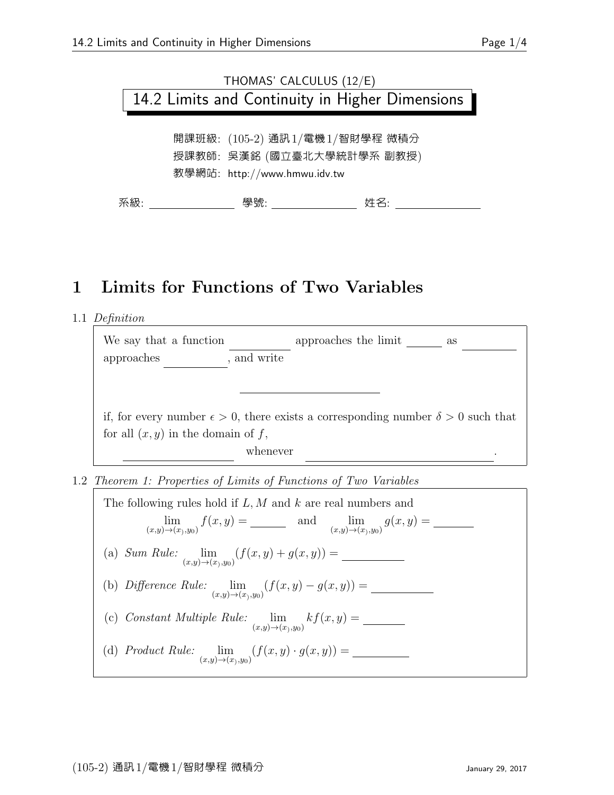## THOMAS' CALCULUS (12/E) 14.2 Limits and Continuity in Higher Dimensions

開課班級: (105-2) 通訊1/電機1/智財學程 微積分 授課教師: 吳漢銘 (國立臺北大學統計學系 副教授) 教學網站: http://www.hmwu.idv.tw

系級: 學號: 姓名:

## 1 Limits for Functions of Two Variables

1.1 Definition

| We say that a function                                                                           |             | approaches the limit | as |  |
|--------------------------------------------------------------------------------------------------|-------------|----------------------|----|--|
| approaches                                                                                       | , and write |                      |    |  |
|                                                                                                  |             |                      |    |  |
|                                                                                                  |             |                      |    |  |
| if, for every number $\epsilon > 0$ , there exists a corresponding number $\delta > 0$ such that |             |                      |    |  |
| for all $(x, y)$ in the domain of f,                                                             |             |                      |    |  |
|                                                                                                  | whenever    |                      |    |  |

1.2 Theorem 1: Properties of Limits of Functions of Two Variables

The following rules hold if  $L, M$  and  $k$  are real numbers and lim (x,y)→(x) ,y0) f(x, y) = L and lim (x,y)→(x) ,y0) g(x, y) = M (a) Sum Rule:  $\lim_{h \to 0}$  $\lim_{(x,y)\to(x_1,y_0)} (f(x,y) + g(x,y)) =$ (b) Difference Rule: lim  $\lim_{(x,y)\to(x),y_0)} (f(x,y) - g(x,y)) = \underline{\qquad}$ (c) Constant Multiple Rule: lim  $\lim_{(x,y)\to(x_1,y_0)} kf(x,y) = \_$ (d) Product Rule: lim  $\lim_{(x,y)\to(x_1,y_0)} (f(x,y)\cdot g(x,y)) = \underline{\qquad}$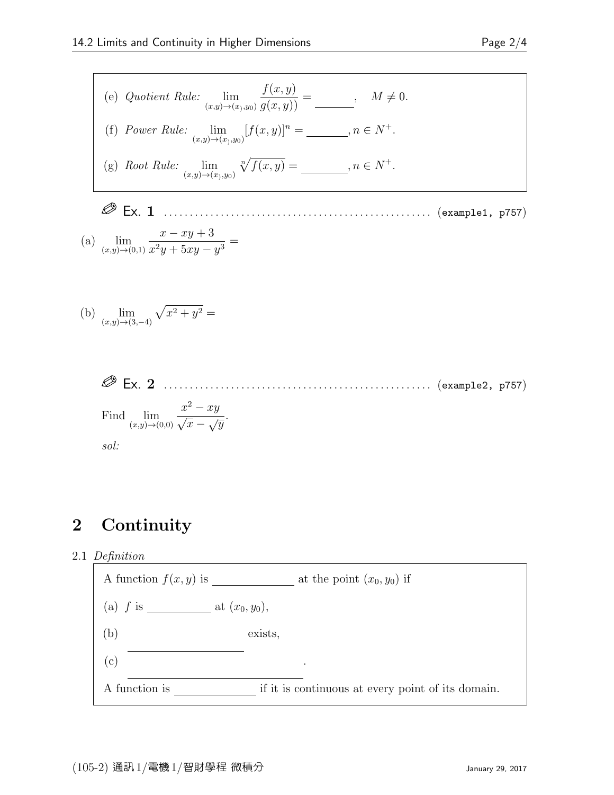\n- (e) Quotient Rule: 
$$
\lim_{(x,y)\to(x),y_0} \frac{f(x,y)}{g(x,y)} = \_\_\_\_\_\,
$$
  $M \neq 0.$
\n- (f) Power Rule:  $\lim_{(x,y)\to(x),y_0} [f(x,y)]^n = \_\_\_\_\_\,$   $n \in N^+.$
\n- (g) Root Rule:  $\lim_{(x,y)\to(x),y_0} \sqrt[n]{f(x,y)} = \_\_\_\_\_\_\_\,\,$   $n \in N^+.$
\n

Ex. 1 . . . . . . . . . . . . . . . . . . . . . . . . . . . . . . . . . . . . . . . . . . . . . . . . . . . . (example1, p757)

(a) 
$$
\lim_{(x,y)\to(0,1)}\frac{x-xy+3}{x^2y+5xy-y^3} =
$$

(b) 
$$
\lim_{(x,y)\to(3,-4)} \sqrt{x^2 + y^2} =
$$

 Ex. 2 . . . . . . . . . . . . . . . . . . . . . . . . . . . . . . . . . . . . . . . . . . . . . . . . . . . . (example2, p757) Find lim (x,y)→(0,0) x <sup>2</sup> − xy √ x − √y . sol:

## 2 Continuity

2.1 Definition

A function  $f(x, y)$  is <u>containuous</u> at the point  $(x_0, y_0)$  if (a) f is defined at (x0, y0),  $(b)$ exists,  $(c)$ f(x)  $\sim$  f(x)  $\sim$  f(x)  $\sim$  f(x) . A function is continuous if it is continuous at every point of its domain.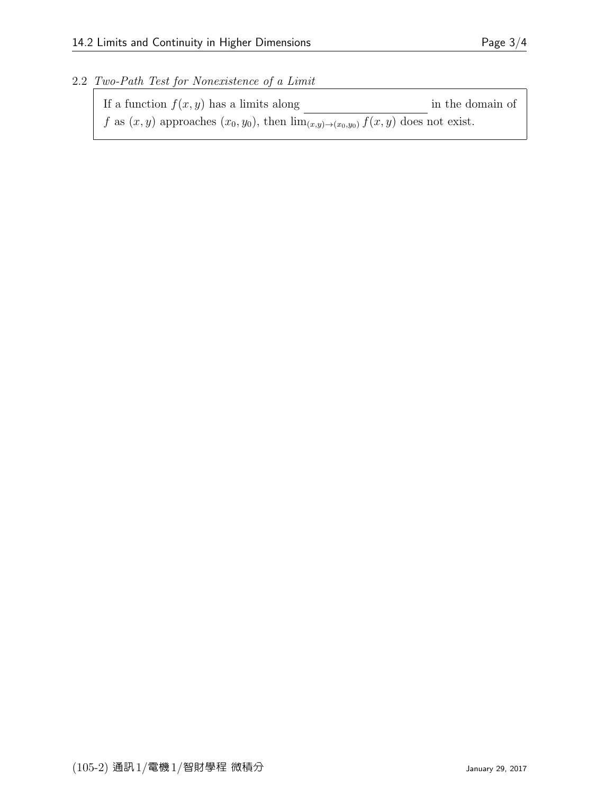2.2 Two-Path Test for Nonexistence of a Limit

| If a function $f(x, y)$ has a limits along                                                      | in the domain of |
|-------------------------------------------------------------------------------------------------|------------------|
| f as $(x, y)$ approaches $(x_0, y_0)$ , then $\lim_{(x,y)\to(x_0,y_0)} f(x, y)$ does not exist. |                  |